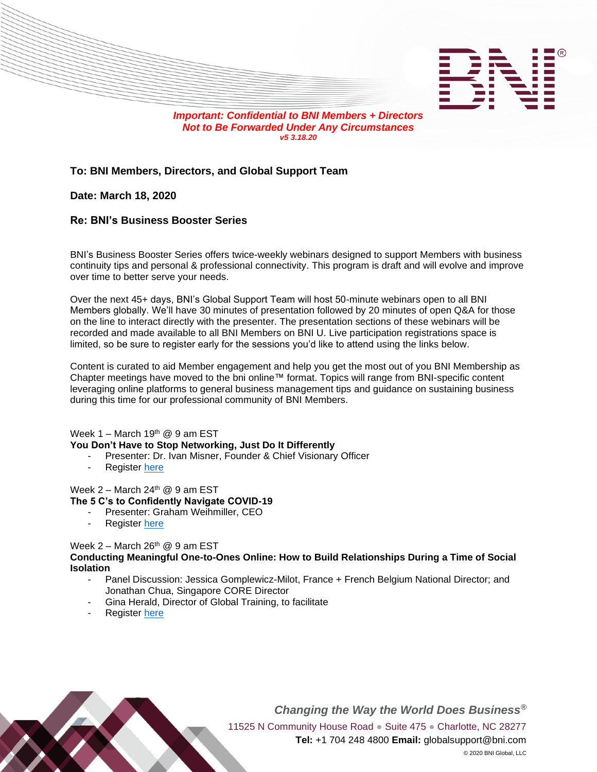

*v5 3.18.20*

# **To: BNI Members, Directors, and Global Support Team**

## **Date: March 18, 2020**

## **Re: BNI's Business Booster Series**

BNI's Business Booster Series offers twice-weekly webinars designed to support Members with business continuity tips and personal & professional connectivity. This program is draft and will evolve and improve over time to better serve your needs.

Over the next 45+ days, BNI's Global Support Team will host 50-minute webinars open to all BNI Members globally. We'll have 30 minutes of presentation followed by 20 minutes of open Q&A for those on the line to interact directly with the presenter. The presentation sections of these webinars will be recorded and made available to all BNI Members on BNI U. Live participation registrations space is limited, so be sure to register early for the sessions you'd like to attend using the links below.

Content is curated to aid Member engagement and help you get the most out of you BNI Membership as Chapter meetings have moved to the bni online™ format. Topics will range from BNI-specific content leveraging online platforms to general business management tips and guidance on sustaining business during this time for our professional community of BNI Members.

Week  $1 -$  March 19<sup>th</sup> @ 9 am EST **You Don't Have to Stop Networking, Just Do It Differently**

- Presenter: Dr. Ivan Misner, Founder & Chief Visionary Officer
- Register [here](https://bnionline.zoom.us/webinar/register/WN_a4ujnMFGSse-GlayGRPScg)

Week 2 – March 24 th @ 9 am EST **The 5 C's to Confidently Navigate COVID-19**

- Presenter: Graham Weihmiller, CEO
- Register [here](https://bnionline.zoom.us/webinar/register/WN_2a8CZJwRTG6NvEixClkoYA)

## Week 2 – March 26<sup>th</sup>  $@9$  am EST

**Conducting Meaningful One-to-Ones Online: How to Build Relationships During a Time of Social Isolation**

- Panel Discussion: Jessica Gomplewicz-Milot, France + French Belgium National Director; and Jonathan Chua, Singapore CORE Director
- Gina Herald, Director of Global Training, to facilitate
- Register [here](https://bnionline.zoom.us/webinar/register/WN_jtsj1Ig8QbKAiSvTKBKOXQ)



*Changing the Way the World Does Business®* 11525 N Community House Road · Suite 475 · Charlotte, NC 28277 **Tel:** +1 704 248 4800 **Email:** globalsupport@bni.com © 2020 BNI Global, LLC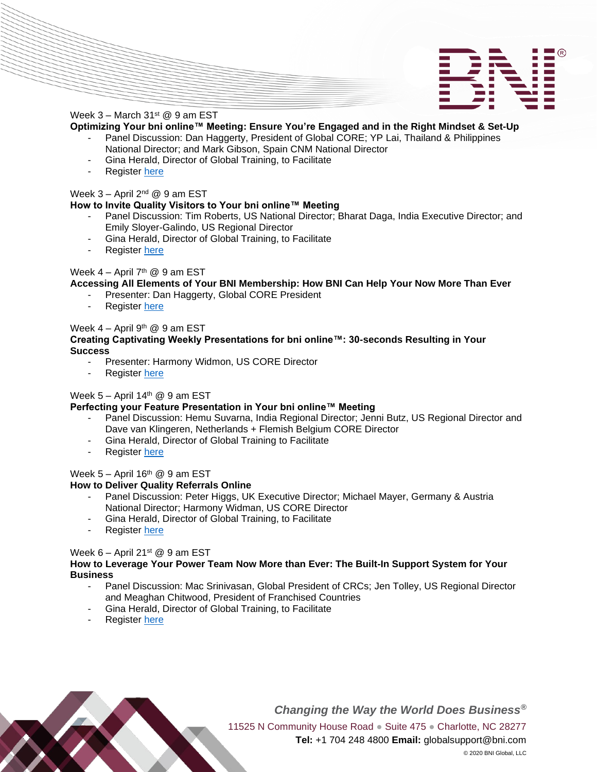



### Week  $3 -$  March  $31<sup>st</sup>$  @ 9 am EST

**Optimizing Your bni online™ Meeting: Ensure You're Engaged and in the Right Mindset & Set-Up**

- Panel Discussion: Dan Haggerty, President of Global CORE; YP Lai, Thailand & Philippines National Director; and Mark Gibson, Spain CNM National Director
- Gina Herald, Director of Global Training, to Facilitate
- Register [here](https://bnionline.zoom.us/webinar/register/WN_k9CqRJtjSROgg8Wve5W-Dg)

### Week 3 – April 2<sup>nd</sup> @ 9 am EST

### **How to Invite Quality Visitors to Your bni online™ Meeting**

- Panel Discussion: Tim Roberts, US National Director; Bharat Daga, India Executive Director; and Emily Sloyer-Galindo, US Regional Director
- Gina Herald, Director of Global Training, to Facilitate
- Register [here](https://bnionline.zoom.us/webinar/register/WN_74g5h4EhQJ-VmfMGfRF9_w)

### Week 4 – April 7<sup>th</sup> @ 9 am EST

#### **Accessing All Elements of Your BNI Membership: How BNI Can Help Your Now More Than Ever**

- Presenter: Dan Haggerty, Global CORE President
- Register [here](https://bnionline.zoom.us/webinar/register/WN_UG9OlsnURK20r1iSh5OoNQ)

### Week 4 – April 9<sup>th</sup> @ 9 am EST

#### **Creating Captivating Weekly Presentations for bni online™: 30-seconds Resulting in Your Success**

- Presenter: Harmony Widmon, US CORE Director
- Register [here](https://bnionline.zoom.us/webinar/register/WN_50cx4gy9TH2Tr3QHU14wUg)

## Week 5 – April 14<sup>th</sup> @ 9 am EST

#### **Perfecting your Feature Presentation in Your bni online™ Meeting**

- Panel Discussion: Hemu Suvarna, India Regional Director; Jenni Butz, US Regional Director and Dave van Klingeren, Netherlands + Flemish Belgium CORE Director
- Gina Herald, Director of Global Training to Facilitate
- Register [here](https://bnionline.zoom.us/webinar/register/WN_uUn_Re-BTx2OoC44jLTNVg)

## Week  $5 -$  April 16<sup>th</sup> @ 9 am EST

## **How to Deliver Quality Referrals Online**

- Panel Discussion: Peter Higgs, UK Executive Director; Michael Mayer, Germany & Austria National Director; Harmony Widman, US CORE Director
- Gina Herald, Director of Global Training, to Facilitate
- Register [here](https://bnionline.zoom.us/webinar/register/WN_zJ0jMJH_TXibqWsp_PNnfw)

## Week  $6 -$  April 21st @ 9 am EST

#### **How to Leverage Your Power Team Now More than Ever: The Built-In Support System for Your Business**

- Panel Discussion: Mac Srinivasan, Global President of CRCs; Jen Tolley, US Regional Director and Meaghan Chitwood, President of Franchised Countries
- Gina Herald, Director of Global Training, to Facilitate
- Register [here](https://bnionline.zoom.us/webinar/register/WN_DSljmtoHSOKYWE3J_stJLg)